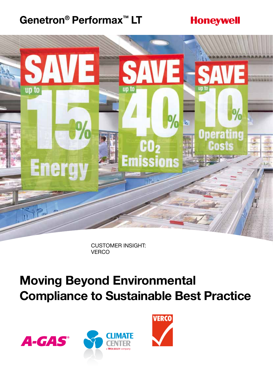#### **Genetron® Performax™ LT**

#### **Honeywell**



Customer Insight: **VERCO** 

# **Moving Beyond Environmental Compliance to Sustainable Best Practice**





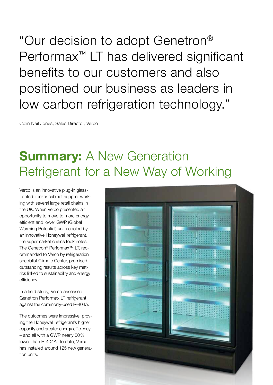"Our decision to adopt Genetron® Performax<sup>™</sup> LT has delivered significant benefits to our customers and also positioned our business as leaders in low carbon refrigeration technology."

Colin Neil Jones, Sales Director, Verco

#### **Summary:** A New Generation Refrigerant for a New Way of Working

Verco is an innovative plug-in glassfronted freezer cabinet supplier working with several large retail chains in the UK. When Verco presented an opportunity to move to more energy efficient and lower GWP (Global Warming Potential) units cooled by an innovative Honeywell refrigerant, the supermarket chains took notes. The Genetron® Performax™ LT, recommended to Verco by refrigeration specialist Climate Center, promised outstanding results across key metrics linked to sustainability and energy efficiency.

In a field study, Verco assessed Genetron Performax LT refrigerant against the commonly-used R-404A.

The outcomes were impressive, proving the Honeywell refrigerant's higher capacity and greater energy efficiency – and all with a GWP nearly 50% lower than R-404A. To date, Verco has installed around 125 new generation units.

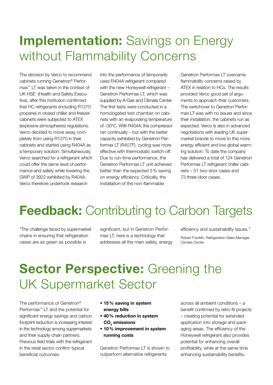## **Implementation:** Savings on Energy without Flammability Concerns

The decision by Verco to recommend cabinets running Genetron® Performax™ LT was taken in the context of UK HSE (Health and Safety Executive), after this institution confirmed that HC refrigerants (including R1270 propane) in closed chiller and freezer cabinets were subjected to ATEX (explosive atmospheres) regulations. Verco decided to move away completely from using R1270 in their cabinets and started using R404A as a temporary solution. Simultaneously, Verco searched for a refrigerant which could offer the same level of performance and safety while lowering the GWP of 3922 exhibited by R404A. Verco therefore undertook research

into the performance of temporarily used R404A refrigerant compared with the new Honeywell refrigerant -Genetron Performax LT, which was supplied by A-Gas and Climate Center. The first tests were conducted in a homologated test chamber on cabinets with an evaporating temperature of –30ºC. With R404A, the compressor ran continually – but with the better capacity exhibited by Genetron Performax LT (R407F), cycling was more effective with thermostatic switch-off. Due to run-time performance, the Genetron Performax LT unit achieved better than the expected 5% saving on energy efficiency. Critically, the installation of the non-flammable

Genetron Performax LT overcame flammability concerns raised by ATEX in relation to HCs. The results provided Verco good set of arguments to approach their customers. The switchover to Genetron Performax LT was with no issues and since their installation, the cabinets run as expected. Verco is also in advanced negotiations with leading UK supermarket brands to move to this more energy efficient and low global warming solution. To date the company has delivered a total of 124 Genetron Performax LT refrigerant chiller cabinets – 51 two-door cases and 73 three-door cases.

## **Feedback:** Contributing to Carbon Targets

"The challenge faced by supermarket chains in ensuring that refrigeration cases are as green as possible is

significant, but in Genetron Performax LT, here is a technology that addresses all the main safety, energy efficiency and sustainability issues."

Robert Franklin, Refrigeration Sales Manager, Climate Center

# **Sector Perspective:** Greening the UK Supermarket Sector

The performance of Genetron® Performax™ LT and the potential for significant energy savings and carbon footprint reduction is increasing interest in the technology among supermarkets and their supply chain partners. Previous field trials with the refrigerant in the retail sector confirm typical beneficial outcomes:

- **15% saving in system energy bills**
- **40% reduction in system**   $\mathsf{CO}_{_2}$  emissions
- **10% improvement in system running costs**

Genetron Performax LT is shown to outperform alternative refrigerants

across all ambient conditions – a benefit confirmed by retro-fit projects – creating potential for extended application into storage and packaging areas. The efficiency of the Honeywell refrigerant also provides potential for enhancing overall profitability, while at the same time enhancing sustainability benefits.